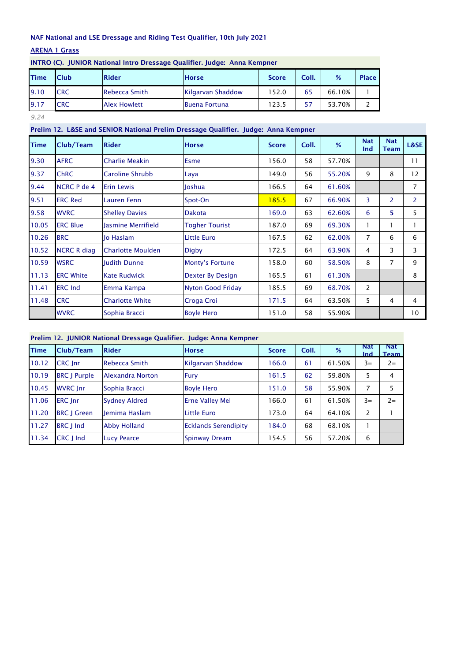## ARENA 1 Grass

| <b>Time</b> | <b>Club</b> | Rider                | <b>Horse</b>         | <b>Score</b> | Coll. | %      | <b>Place</b> |
|-------------|-------------|----------------------|----------------------|--------------|-------|--------|--------------|
| 9.10        | <b>CRC</b>  | <b>Rebecca Smith</b> | Kilgarvan Shaddow    | 152.0        | 65    | 66.10% |              |
| 9.17        | <b>CRC</b>  | <b>Alex Howlett</b>  | <b>Buena Fortuna</b> | 123.5        |       | 53.70% |              |

### INTRO (C). JUNIOR National Intro Dressage Qualifier. Judge: Anna Kempner

*9.24*

# Prelim 12. L&SE and SENIOR National Prelim Dressage Qualifier. Judge: Anna Kempner

| <b>Time</b> | Club/Team          | <b>Rider</b>             | <b>Horse</b>             | <b>Score</b> | Coll. | %      | <b>Nat</b><br>Ind | <b>Nat</b><br><b>Team</b> | L&SE            |
|-------------|--------------------|--------------------------|--------------------------|--------------|-------|--------|-------------------|---------------------------|-----------------|
| 9.30        | <b>AFRC</b>        | <b>Charlie Meakin</b>    | <b>Esme</b>              | 156.0        | 58    | 57.70% |                   |                           | 11              |
| 9.37        | <b>ChRC</b>        | Caroline Shrubb          | Laya                     | 149.0        | 56    | 55.20% | 9                 | 8                         | 12              |
| 9.44        | <b>NCRC P de 4</b> | <b>Erin Lewis</b>        | Joshua                   | 166.5        | 64    | 61.60% |                   |                           | 7               |
| 9.51        | <b>ERC Red</b>     | <b>Lauren Fenn</b>       | Spot-On                  | 185.5        | 67    | 66.90% | 3                 | 2                         | $\overline{2}$  |
| 9.58        | <b>WVRC</b>        | <b>Shelley Davies</b>    | <b>Dakota</b>            | 169.0        | 63    | 62.60% | 6                 | 5.                        | 5               |
| 10.05       | <b>ERC Blue</b>    | lasmine Merrifield       | <b>Togher Tourist</b>    | 187.0        | 69    | 69.30% | 1.                | 1                         | 1               |
| 10.26       | <b>BRC</b>         | lo Haslam                | <b>Little Euro</b>       | 167.5        | 62    | 62.00% | $\overline{7}$    | 6                         | 6               |
| 10.52       | <b>NCRC R diag</b> | <b>Charlotte Moulden</b> | Digby                    | 172.5        | 64    | 63.90% | 4                 | 3                         | 3               |
| 10.59       | <b>WSRC</b>        | <b>Iudith Dunne</b>      | Monty's Fortune          | 158.0        | 60    | 58.50% | 8                 | 7                         | 9               |
| 11.13       | <b>ERC White</b>   | <b>Kate Rudwick</b>      | Dexter By Design         | 165.5        | 61    | 61.30% |                   |                           | 8               |
| 11.41       | <b>ERC Ind</b>     | Emma Kampa               | <b>Nyton Good Friday</b> | 185.5        | 69    | 68.70% | $\overline{2}$    |                           |                 |
| 11.48       | <b>CRC</b>         | <b>Charlotte White</b>   | Croga Croi               | 171.5        | 64    | 63.50% | 5.                | 4                         | 4               |
|             | <b>WVRC</b>        | Sophia Bracci            | <b>Boyle Hero</b>        | 151.0        | 58    | 55.90% |                   |                           | 10 <sup>°</sup> |

## Prelim 12. JUNIOR National Dressage Qualifier. Judge: Anna Kempner

| <b>Time</b> | Club/Team           | <b>Rider</b>            | <b>Horse</b>                | <b>Score</b> | Coll. | %      | Nat<br><b>Ind</b> | <b>Nat</b><br><b>Team</b> |
|-------------|---------------------|-------------------------|-----------------------------|--------------|-------|--------|-------------------|---------------------------|
| 10.12       | <b>CRC</b> Inr      | <b>Rebecca Smith</b>    | Kilgarvan Shaddow           | 166.0        | 61    | 61.50% | $3=$              | $2 =$                     |
| 10.19       | <b>BRC</b> J Purple | <b>Alexandra Norton</b> | <b>Fury</b>                 | 161.5        | 62    | 59.80% | 5                 | 4                         |
| 10.45       | <b>WVRC Inr</b>     | Sophia Bracci           | <b>Boyle Hero</b>           | 151.0        | 58    | 55.90% | 7                 |                           |
| 11.06       | <b>ERC</b> Inr      | <b>Sydney Aldred</b>    | <b>Erne Valley Mel</b>      | 166.0        | 61    | 61.50% | $3=$              | $2 =$                     |
| 11.20       | <b>BRC J Green</b>  | <b>Iemima Haslam</b>    | <b>Little Euro</b>          | 173.0        | 64    | 64.10% | 2                 |                           |
| 11.27       | <b>BRC</b> J Ind    | <b>Abby Holland</b>     | <b>Ecklands Serendipity</b> | 184.0        | 68    | 68.10% |                   |                           |
| 11.34       | CRC J Ind           | <b>Lucy Pearce</b>      | <b>Spinway Dream</b>        | 154.5        | 56    | 57.20% | 6                 |                           |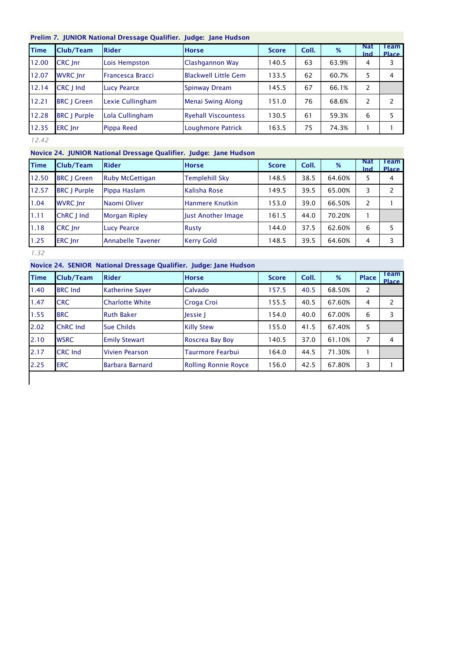### Prelim 7. JUNIOR National Dressage Qualifier. Judge: Jane Hudson

| <b>Time</b> | Club/Team           | <b>Rider</b>            | <b>Horse</b>                | <b>Score</b> | Coll. | %     | <b>Nat</b><br>Ind | Team<br><b>Place</b> |
|-------------|---------------------|-------------------------|-----------------------------|--------------|-------|-------|-------------------|----------------------|
| 12.00       | <b>CRC</b> Inr      | Lois Hempston           | Clashgannon Way             | 140.5        | 63    | 63.9% | 4                 | 3                    |
| 12.07       | <b>WVRC</b> Inr     | <b>Francesca Bracci</b> | <b>Blackwell Little Gem</b> | 133.5        | 62    | 60.7% | 5                 | 4                    |
| 12.14       | CRC J Ind           | <b>Lucy Pearce</b>      | Spinway Dream               | 145.5        | 67    | 66.1% | 2                 |                      |
| 12.21       | <b>BRC   Green</b>  | Lexie Cullingham        | <b>Menai Swing Along</b>    | 151.0        | 76    | 68.6% | 2                 |                      |
| 12.28       | <b>BRC</b> J Purple | Lola Cullingham         | <b>Ryehall Viscountess</b>  | 130.5        | 61    | 59.3% | 6                 |                      |
| 12.35       | ERC Inr             | Pippa Reed              | Loughmore Patrick           | 163.5        | 75    | 74.3% |                   |                      |

*12.42*

# Novice 24. JUNIOR National Dressage Qualifier. Judge: Jane Hudson

| <b>Time</b> | Club/Team           | <b>Rider</b>             | <b>Horse</b>          | <b>Score</b> | Coll. | %      | <b>Nat</b><br><b>Ind</b> | Team<br><b>Place</b> |
|-------------|---------------------|--------------------------|-----------------------|--------------|-------|--------|--------------------------|----------------------|
| 12.50       | <b>BRC J Green</b>  | <b>Ruby McGettigan</b>   | <b>Templehill Sky</b> | 148.5        | 38.5  | 64.60% | 5                        | 4                    |
| 12.57       | <b>BRC J Purple</b> | Pippa Haslam             | Kalisha Rose          | 149.5        | 39.5  | 65.00% | 3                        |                      |
| 1.04        | <b>WVRC</b> Inr     | Naomi Oliver             | Hanmere Knutkin       | 153.0        | 39.0  | 66.50% | 2                        |                      |
| 1.11        | ChRC J Ind          | <b>Morgan Ripley</b>     | Just Another Image    | 161.5        | 44.0  | 70.20% |                          |                      |
| 1.18        | CRC Inr             | <b>Lucy Pearce</b>       | <b>Rusty</b>          | 144.0        | 37.5  | 62.60% | 6                        |                      |
| 1.25        | <b>ERC</b> Inr      | <b>Annabelle Tavener</b> | <b>Kerry Gold</b>     | 148.5        | 39.5  | 64.60% | 4                        |                      |

*1.32*

# Novice 24. SENIOR National Dressage Qualifier. Judge: Jane Hudson

| <b>Time</b> | Club/Team       | <b>Rider</b>           | <b>Horse</b>         | <b>Score</b> | Coll. | %      | <b>Place</b>   | Team<br><b>Place</b> |
|-------------|-----------------|------------------------|----------------------|--------------|-------|--------|----------------|----------------------|
| 1.40        | <b>BRC</b> Ind  | <b>Katherine Sayer</b> | Calvado              | 157.5        | 40.5  | 68.50% | $\overline{2}$ |                      |
| 1.47        | <b>CRC</b>      | <b>Charlotte White</b> | Croga Croi           | 155.5        | 40.5  | 67.60% | 4              | 2                    |
| 1.55        | <b>BRC</b>      | <b>Ruth Baker</b>      | Jessie J             | 154.0        | 40.0  | 67.00% | 6              | 3                    |
| 2.02        | <b>ChRC</b> Ind | <b>Sue Childs</b>      | <b>Killy Stew</b>    | 155.0        | 41.5  | 67.40% | 5              |                      |
| 2.10        | <b>WSRC</b>     | <b>Emily Stewart</b>   | Roscrea Bay Boy      | 140.5        | 37.0  | 61.10% | $\overline{7}$ | 4                    |
| 2.17        | <b>CRC</b> Ind  | Vivien Pearson         | Taurmore Fearbui     | 164.0        | 44.5  | 71.30% |                |                      |
| 2.25        | <b>ERC</b>      | <b>Barbara Barnard</b> | Rolling Ronnie Royce | 156.0        | 42.5  | 67.80% | 3              |                      |
|             |                 |                        |                      |              |       |        |                |                      |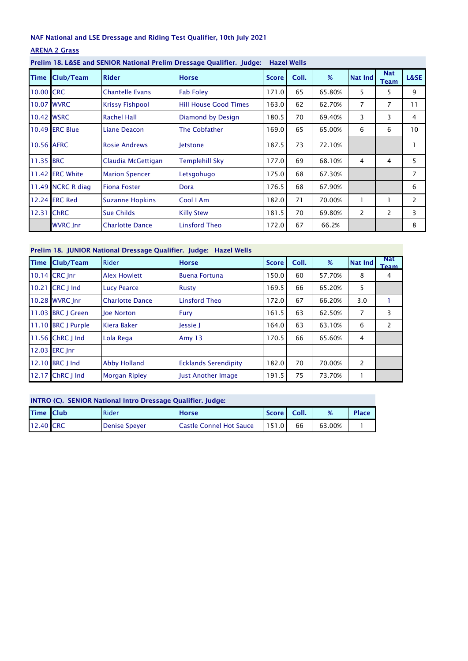# ARENA 2 Grass

| Time       | Club/Team             | <b>Rider</b>           | <b>Horse</b>                 | <b>Score</b> | Coll. | %      | <b>Nat Ind</b> | <b>Nat</b><br>Team | <b>L&amp;SE</b> |
|------------|-----------------------|------------------------|------------------------------|--------------|-------|--------|----------------|--------------------|-----------------|
| 10.00 CRC  |                       | <b>Chantelle Evans</b> | <b>Fab Foley</b>             | 171.0        | 65    | 65.80% | 5              | 5                  | 9               |
|            | <b>10.07 WVRC</b>     | <b>Krissy Fishpool</b> | <b>Hill House Good Times</b> | 163.0        | 62    | 62.70% | $\overline{7}$ | $\overline{7}$     | 11              |
|            | 10.42 WSRC            | <b>Rachel Hall</b>     | Diamond by Design            | 180.5        | 70    | 69.40% | 3              | 3                  | 4               |
|            | <b>10.49 ERC Blue</b> | Liane Deacon           | The Cobfather                | 169.0        | 65    | 65.00% | 6              | 6                  | 10              |
| 10.56 AFRC |                       | <b>Rosie Andrews</b>   | letstone                     | 187.5        | 73    | 72.10% |                |                    |                 |
| 11.35 BRC  |                       | Claudia McGettigan     | Templehill Sky               | 177.0        | 69    | 68.10% | 4              | 4                  | 5               |
|            | 11.42 ERC White       | <b>Marion Spencer</b>  | Letsgohugo                   | 175.0        | 68    | 67.30% |                |                    | 7               |
|            | 11.49 NCRC R diag     | <b>Fiona Foster</b>    | Dora                         | 176.5        | 68    | 67.90% |                |                    | 6               |
|            | 12.24 ERC Red         | <b>Suzanne Hopkins</b> | Cool I Am                    | 182.0        | 71    | 70.00% |                |                    | 2               |
|            | 12.31 ChRC            | <b>Sue Childs</b>      | <b>Killy Stew</b>            | 181.5        | 70    | 69.80% | 2              | 2                  | 3               |
|            | <b>WVRC</b> Inr       | <b>Charlotte Dance</b> | Linsford Theo                | 172.0        | 67    | 66.2%  |                |                    | 8               |

# Prelim 18. L&SE and SENIOR National Prelim Dressage Qualifier. Judge: Hazel Wells

### Prelim 18. JUNIOR National Dressage Qualifier. Judge: Hazel Wells

| <b>Time</b> | Club/Team          | <b>Rider</b>           | <b>Horse</b>                | <b>Score</b> | Coll. | %      | <b>Nat Ind</b> | <b>Nat</b><br>Team |
|-------------|--------------------|------------------------|-----------------------------|--------------|-------|--------|----------------|--------------------|
|             | 10.14 CRC Inr      | <b>Alex Howlett</b>    | <b>Buena Fortuna</b>        | 150.0        | 60    | 57.70% | 8              | 4                  |
| 10.21       | CRC J Ind          | <b>Lucy Pearce</b>     | <b>Rusty</b>                | 169.5        | 66    | 65.20% | 5              |                    |
|             | 10.28 WVRC Inr     | <b>Charlotte Dance</b> | Linsford Theo               | 172.0        | 67    | 66.20% | 3.0            |                    |
|             | 11.03 BRC I Green  | loe Norton             | <b>Fury</b>                 | 161.5        | 63    | 62.50% | 7              | 3                  |
|             | 11.10 BRC J Purple | Kiera Baker            | Jessie J                    | 164.0        | 63    | 63.10% | 6              | $\mathbf{2}$       |
|             | 11.56 ChRC   Ind   | Lola Rega              | Amy $13$                    | 170.5        | 66    | 65.60% | 4              |                    |
|             | 12.03 ERC Inr      |                        |                             |              |       |        |                |                    |
|             | 12.10 BRC 1 Ind    | <b>Abby Holland</b>    | <b>Ecklands Serendipity</b> | 182.0        | 70    | 70.00% | 2              |                    |
| 12.17       | ChRC J Ind         | <b>Morgan Ripley</b>   | Just Another Image          | 191.5        | 75    | 73.70% |                |                    |

# INTRO (C). SENIOR National Intro Dressage Qualifier. Judge: Time Club Rider Horse Score Coll. % Place 12.40 CRC Denise Speyer Castle Connel Hot Sauce | 151.0 66 63.00% | 1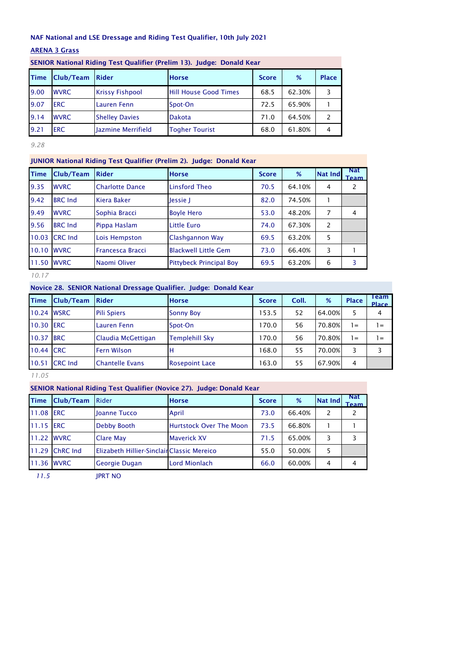### ARENA 3 Grass

|             |                  |                            | SENIOR National Riding Test Qualifier (Prelim 13). Judge: Donald Kear |              |        |              |
|-------------|------------------|----------------------------|-----------------------------------------------------------------------|--------------|--------|--------------|
| <b>Time</b> | <b>Club/Team</b> | Rider                      | <b>Horse</b>                                                          | <b>Score</b> | %      | <b>Place</b> |
| 9.00        | <b>WVRC</b>      | <b>Krissy Fishpool</b>     | <b>Hill House Good Times</b>                                          | 68.5         | 62.30% | 3            |
| 9.07        | <b>ERC</b>       | Lauren Fenn                | Spot-On                                                               | 72.5         | 65.90% |              |
| 9.14        | <b>WVRC</b>      | <b>Shelley Davies</b>      | <b>Dakota</b>                                                         | 71.0         | 64.50% | 2            |
| 9.21        | <b>ERC</b>       | <b>Ilazmine Merrifield</b> | <b>Togher Tourist</b>                                                 | 68.0         | 61.80% | 4            |

SENIOR National Riding Test Qualifier (Prelim 13). Judge: Donald Kear

*9.28*

## JUNIOR National Riding Test Qualifier (Prelim 2). Judge: Donald Kear

| <b>Time</b> | Club/Team      | <b>Rider</b>            | <b>Horse</b>                   | <b>Score</b> | %      | <b>Nat Ind</b> | <b>Nat</b><br><b>Team</b> |
|-------------|----------------|-------------------------|--------------------------------|--------------|--------|----------------|---------------------------|
| 9.35        | <b>WVRC</b>    | <b>Charlotte Dance</b>  | <b>Linsford Theo</b>           | 70.5         | 64.10% | 4              | 2                         |
| 9.42        | <b>BRC</b> Ind | Kiera Baker             | Jessie J                       | 82.0         | 74.50% |                |                           |
| 9.49        | <b>WVRC</b>    | Sophia Bracci           | <b>Boyle Hero</b>              | 53.0         | 48.20% | 7              | 4                         |
| 9.56        | <b>BRC</b> Ind | Pippa Haslam            | <b>Little Euro</b>             | 74.0         | 67.30% | 2              |                           |
| 10.03       | <b>CRC</b> Ind | Lois Hempston           | Clashgannon Way                | 69.5         | 63.20% | 5              |                           |
| 10.10 WVRC  |                | <b>Francesca Bracci</b> | <b>Blackwell Little Gem</b>    | 73.0         | 66.40% | 3              |                           |
| 11.50 WVRC  |                | Naomi Oliver            | <b>Pittybeck Principal Boy</b> | 69.5         | 63.20% | 6              | 3                         |

*10.17*

Novice 28. SENIOR National Dressage Qualifier. Judge: Donald Kear

| <b>Time</b> | <b>Club/Team</b> | Rider                  | <b>Horse</b>          | <b>Score</b> | Coll. | %      | <b>Place</b>   | Team<br>Place |
|-------------|------------------|------------------------|-----------------------|--------------|-------|--------|----------------|---------------|
| 10.24 WSRC  |                  | <b>Pili Spiers</b>     | <b>Sonny Boy</b>      | 153.5        | 52    | 64.00% |                | 4             |
| 10.30 ERC   |                  | <b>Lauren Fenn</b>     | Spot-On               | 170.0        | 56    | 70.80% | 1=             | l =           |
| 10.37       | <b>BRC</b>       | Claudia McGettigan     | <b>Templehill Sky</b> | 170.0        | 56    | 70.80% | 1 =            | l =           |
| 10.44       | <b>CRC</b>       | <b>Fern Wilson</b>     | н                     | 168.0        | 55    | 70.00% | 3              | 3             |
| 10.51       | <b>CRC Ind</b>   | <b>Chantelle Evans</b> | <b>Rosepoint Lace</b> | 163.0        | 55    | 67.90% | $\overline{4}$ |               |

*11.05*

## SENIOR National Riding Test Qualifier (Novice 27). Judge: Donald Kear

| <b>Time</b> | <b>Club/Team</b> | <b>Rider</b>                              | <b>Horse</b>                   | <b>Score</b> | %      | <b>Nat Ind</b> | <b>Nat</b><br><b>Team</b> |
|-------------|------------------|-------------------------------------------|--------------------------------|--------------|--------|----------------|---------------------------|
| 11.08 ERC   |                  | <b>Ioanne Tucco</b>                       | April                          | 73.0         | 66.40% | 2              |                           |
| 11.15 ERC   |                  | Debby Booth                               | <b>Hurtstock Over The Moon</b> | 73.5         | 66.80% |                |                           |
| 11.22 WVRC  |                  | <b>Clare May</b>                          | <b>Maverick XV</b>             | 71.5         | 65.00% | 3              |                           |
|             | 11.29 ChRC Ind   | Elizabeth Hillier-SinclainClassic Mereico |                                | 55.0         | 50.00% |                |                           |
| 11.36 WVRC  |                  | <b>Georgie Dugan</b>                      | <b>Lord Mionlach</b>           | 66.0         | 60.00% | 4              |                           |

*11.5* JPRT NO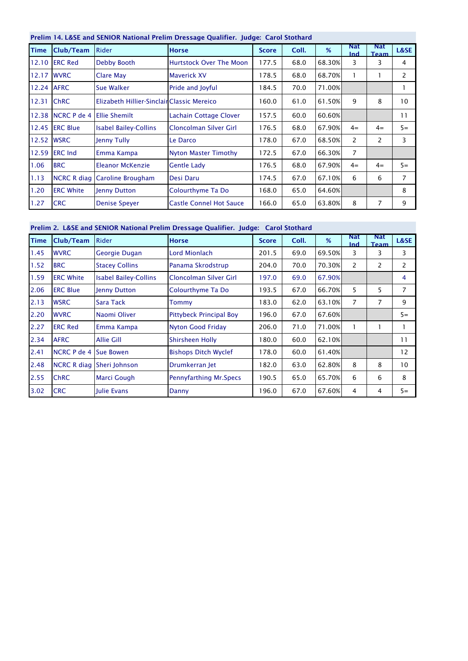|             | Prelim 14. L&SE and SENIOR National Prelim Dressage Qualifier. Judge: Carol Stothard |                                           |                                |              |       |        |                          |                           |       |  |  |  |
|-------------|--------------------------------------------------------------------------------------|-------------------------------------------|--------------------------------|--------------|-------|--------|--------------------------|---------------------------|-------|--|--|--|
| <b>Time</b> | Club/Team                                                                            | <b>Rider</b>                              | <b>Horse</b>                   | <b>Score</b> | Coll. | %      | <b>Nat</b><br><b>Ind</b> | <b>Nat</b><br><b>Team</b> | L&SE  |  |  |  |
| 12.10       | <b>ERC Red</b>                                                                       | Debby Booth                               | <b>Hurtstock Over The Moon</b> | 177.5        | 68.0  | 68.30% | 3                        | 3                         | 4     |  |  |  |
| 12.17       | <b>WVRC</b>                                                                          | <b>Clare May</b>                          | <b>Maverick XV</b>             | 178.5        | 68.0  | 68.70% |                          |                           | 2     |  |  |  |
| 12.24 AFRC  |                                                                                      | Sue Walker                                | <b>Pride and Joyful</b>        | 184.5        | 70.0  | 71.00% |                          |                           |       |  |  |  |
| 12.31       | <b>ChRC</b>                                                                          | Elizabeth Hillier-SinclainClassic Mereico |                                | 160.0        | 61.0  | 61.50% | 9                        | 8                         | 10    |  |  |  |
|             | 12.38 NCRC P de 4                                                                    | <b>Ellie Shemilt</b>                      | <b>Lachain Cottage Clover</b>  | 157.5        | 60.0  | 60.60% |                          |                           | 11    |  |  |  |
|             | 12.45 <b>IERC Blue</b>                                                               | <b>Isabel Bailey-Collins</b>              | Cloncolman Silver Girl         | 176.5        | 68.0  | 67.90% | $4=$                     | $4=$                      | $5 =$ |  |  |  |
|             | 12.52 WSRC                                                                           | Jenny Tully                               | Le Darco                       | 178.0        | 67.0  | 68.50% | $\mathcal{P}$            | 2                         | 3     |  |  |  |
| 12.59       | <b>ERC</b> Ind                                                                       | Emma Kampa                                | <b>Nyton Master Timothy</b>    | 172.5        | 67.0  | 66.30% | $\overline{7}$           |                           |       |  |  |  |
| 1.06        | <b>BRC</b>                                                                           | Eleanor McKenzie                          | <b>Gentle Lady</b>             | 176.5        | 68.0  | 67.90% | $4 =$                    | $4=$                      | $5=$  |  |  |  |
| 1.13        | <b>NCRC R diag</b>                                                                   | Caroline Brougham                         | Desi Daru                      | 174.5        | 67.0  | 67.10% | 6                        | 6                         | 7     |  |  |  |
| 1.20        | <b>ERC White</b>                                                                     | Jenny Dutton                              | Colourthyme Ta Do              | 168.0        | 65.0  | 64.60% |                          |                           | 8     |  |  |  |
| 1.27        | <b>CRC</b>                                                                           | <b>Denise Speyer</b>                      | <b>Castle Connel Hot Sauce</b> | 166.0        | 65.0  | 63.80% | 8                        | 7                         | 9     |  |  |  |

# Prelim 2. L&SE and SENIOR National Prelim Dressage Qualifier. Judge: Carol Stothard

| <b>Time</b> | Club/Team          | <b>Rider</b>                 | <b>Horse</b>                   | <b>Score</b> | Coll. | %      | <b>Nat</b><br>Ind | <b>Nat</b><br><b>Team</b> | L&SE  |
|-------------|--------------------|------------------------------|--------------------------------|--------------|-------|--------|-------------------|---------------------------|-------|
| 1.45        | <b>WVRC</b>        | Georgie Dugan                | <b>Lord Mionlach</b>           | 201.5        | 69.0  | 69.50% | 3                 | 3                         | 3     |
| 1.52        | <b>BRC</b>         | <b>Stacey Collins</b>        | Panama Skrodstrup              | 204.0        | 70.0  | 70.30% | 2                 | $\overline{2}$            | 2     |
| 1.59        | <b>ERC White</b>   | <b>Isabel Bailey-Collins</b> | Cloncolman Silver Girl         | 197.0        | 69.0  | 67.90% |                   |                           | 4     |
| 2.06        | <b>ERC Blue</b>    | Jenny Dutton                 | Colourthyme Ta Do              | 193.5        | 67.0  | 66.70% | 5                 | 5                         | 7     |
| 2.13        | <b>WSRC</b>        | Sara Tack                    | Tommy                          | 183.0        | 62.0  | 63.10% | 7                 | $\overline{7}$            | 9     |
| 2.20        | <b>WVRC</b>        | Naomi Oliver                 | <b>Pittybeck Principal Boy</b> | 196.0        | 67.0  | 67.60% |                   |                           | $5 =$ |
| 2.27        | <b>ERC Red</b>     | Emma Kampa                   | <b>Nyton Good Friday</b>       | 206.0        | 71.0  | 71.00% |                   |                           |       |
| 2.34        | <b>AFRC</b>        | <b>Allie Gill</b>            | <b>Shirsheen Holly</b>         | 180.0        | 60.0  | 62.10% |                   |                           | 11    |
| 2.41        | <b>NCRC P de 4</b> | <b>Sue Bowen</b>             | <b>Bishops Ditch Wyclef</b>    | 178.0        | 60.0  | 61.40% |                   |                           | 12    |
| 2.48        | <b>NCRC R diag</b> | Sheri Johnson                | Drumkerran Jet                 | 182.0        | 63.0  | 62.80% | 8                 | 8                         | 10    |
| 2.55        | <b>ChRC</b>        | <b>Marci Gough</b>           | <b>Pennyfarthing Mr.Specs</b>  | 190.5        | 65.0  | 65.70% | 6                 | 6                         | 8     |
| 3.02        | <b>CRC</b>         | Julie Evans                  | Danny                          | 196.0        | 67.0  | 67.60% | 4                 | 4                         | $5 =$ |